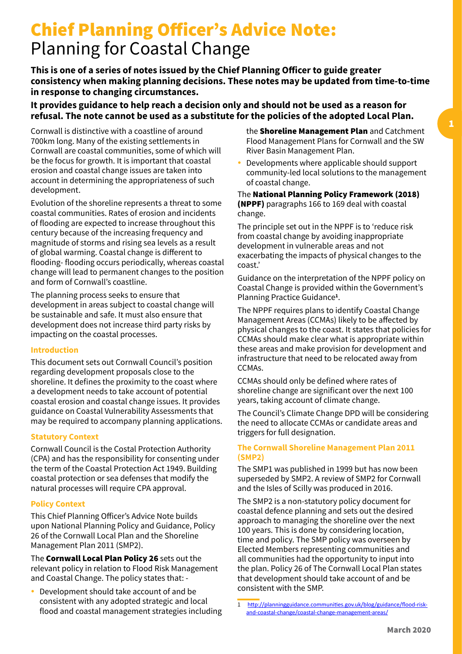## Chief Planning Officer's Advice Note: Planning for Coastal Change

**This is one of a series of notes issued by the Chief Planning Officer to guide greater consistency when making planning decisions. These notes may be updated from time-to-time in response to changing circumstances.** 

#### **It provides guidance to help reach a decision only and should not be used as a reason for refusal. The note cannot be used as a substitute for the policies of the adopted Local Plan.**

Cornwall is distinctive with a coastline of around 700km long. Many of the existing settlements in Cornwall are coastal communities, some of which will be the focus for growth. It is important that coastal erosion and coastal change issues are taken into account in determining the appropriateness of such development.

Evolution of the shoreline represents a threat to some coastal communities. Rates of erosion and incidents of flooding are expected to increase throughout this century because of the increasing frequency and magnitude of storms and rising sea levels as a result of global warming. Coastal change is different to flooding- flooding occurs periodically, whereas coastal change will lead to permanent changes to the position and form of Cornwall's coastline.

The planning process seeks to ensure that development in areas subject to coastal change will be sustainable and safe. It must also ensure that development does not increase third party risks by impacting on the coastal processes.

#### **Introduction**

This document sets out Cornwall Council's position regarding development proposals close to the shoreline. It defines the proximity to the coast where a development needs to take account of potential coastal erosion and coastal change issues. It provides guidance on Coastal Vulnerability Assessments that may be required to accompany planning applications.

#### **Statutory Context**

Cornwall Council is the Costal Protection Authority (CPA) and has the responsibility for consenting under the term of the Coastal Protection Act 1949. Building coastal protection or sea defenses that modify the natural processes will require CPA approval.

#### **Policy Context**

This Chief Planning Officer's Advice Note builds upon National Planning Policy and Guidance, Policy 26 of the Cornwall Local Plan and the Shoreline Management Plan 2011 (SMP2).

The **Cornwall Local Plan Policy 26** sets out the relevant policy in relation to Flood Risk Management and Coastal Change. The policy states that: -

Development should take account of and be consistent with any adopted strategic and local flood and coastal management strategies including the **Shoreline Management Plan** and Catchment Flood Management Plans for Cornwall and the SW River Basin Management Plan.

• Developments where applicable should support community-led local solutions to the management of coastal change.

#### The National Planning Policy Framework (2018) (NPPF) paragraphs 166 to 169 deal with coastal change.

The principle set out in the NPPF is to 'reduce risk from coastal change by avoiding inappropriate development in vulnerable areas and not exacerbating the impacts of physical changes to the coast.'

Guidance on the interpretation of the NPPF policy on Coastal Change is provided within the Government's Planning Practice Guidance**<sup>1</sup>** .

The NPPF requires plans to identify Coastal Change Management Areas (CCMAs) likely to be affected by physical changes to the coast. It states that policies for CCMAs should make clear what is appropriate within these areas and make provision for development and infrastructure that need to be relocated away from CCMAs.

CCMAs should only be defined where rates of shoreline change are significant over the next 100 years, taking account of climate change.

The Council's Climate Change DPD will be considering the need to allocate CCMAs or candidate areas and triggers for full designation.

#### **The Cornwall Shoreline Management Plan 2011 (SMP2)**

The SMP1 was published in 1999 but has now been superseded by SMP2. A review of SMP2 for Cornwall and the Isles of Scilly was produced in 2016.

The SMP2 is a non-statutory policy document for coastal defence planning and sets out the desired approach to managing the shoreline over the next 100 years. This is done by considering location, time and policy. The SMP policy was overseen by Elected Members representing communities and all communities had the opportunity to input into the plan. Policy 26 of The Cornwall Local Plan states that development should take account of and be consistent with the SMP.

<sup>1</sup> [http://planningguidance.communities.gov.uk/blog/guidance/flood-risk](http://planningguidance.communities.gov.uk/blog/guidance/flood-risk-and-coastal-change/coastal-change-management-areas/)[and-coastal-change/coastal-change-management-areas/](http://planningguidance.communities.gov.uk/blog/guidance/flood-risk-and-coastal-change/coastal-change-management-areas/)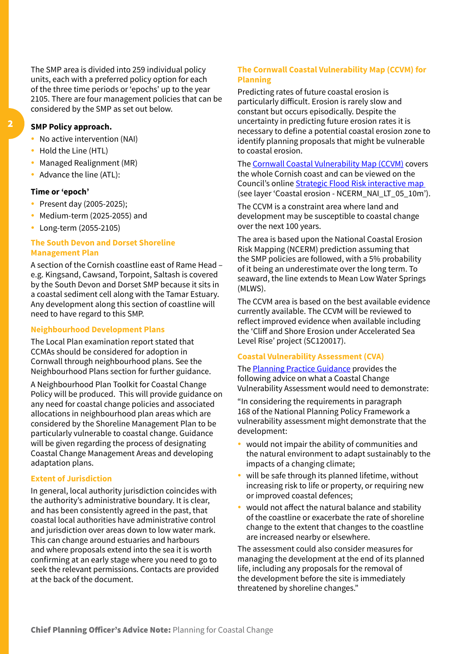The SMP area is divided into 259 individual policy units, each with a preferred policy option for each of the three time periods or 'epochs' up to the year 2105. There are four management policies that can be considered by the SMP as set out below.

#### **SMP Policy approach.**

- No active intervention (NAI)
- Hold the Line (HTL)
- Managed Realignment (MR)
- Advance the line (ATL):

#### **Time or 'epoch'**

- Present day (2005-2025);
- $\bullet$  Medium-term (2025-2055) and
- Long-term (2055-2105)

#### **The South Devon and Dorset Shoreline Management Plan**

A section of the Cornish coastline east of Rame Head – e.g. Kingsand, Cawsand, Torpoint, Saltash is covered by the South Devon and Dorset SMP because it sits in a coastal sediment cell along with the Tamar Estuary. Any development along this section of coastline will need to have regard to this SMP.

#### **Neighbourhood Development Plans**

The Local Plan examination report stated that CCMAs should be considered for adoption in Cornwall through neighbourhood plans. See the Neighbourhood Plans section for further guidance.

A Neighbourhood Plan Toolkit for Coastal Change Policy will be produced. This will provide guidance on any need for coastal change policies and associated allocations in neighbourhood plan areas which are considered by the Shoreline Management Plan to be particularly vulnerable to coastal change. Guidance will be given regarding the process of designating Coastal Change Management Areas and developing adaptation plans.

#### **Extent of Jurisdiction**

In general, local authority jurisdiction coincides with the authority's administrative boundary. It is clear, and has been consistently agreed in the past, that coastal local authorities have administrative control and jurisdiction over areas down to low water mark. This can change around estuaries and harbours and where proposals extend into the sea it is worth confirming at an early stage where you need to go to seek the relevant permissions. Contacts are provided at the back of the document.

#### **The Cornwall Coastal Vulnerability Map (CCVM) for Planning**

Predicting rates of future coastal erosion is particularly difficult. Erosion is rarely slow and constant but occurs episodically. Despite the uncertainty in predicting future erosion rates it is necessary to define a potential coastal erosion zone to identify planning proposals that might be vulnerable to coastal erosion.

The [Cornwall Coastal Vulnerability Map \(CCVM\)](https://map.cornwall.gov.uk/website/ccmap/index.html?zoomlevel=1&xcoord=162690&ycoord=64380&wsName=sfra&layerName=Coastal%20erosion%20-%20NCERM_NAI_LT_05_10m) covers the whole Cornish coast and can be viewed on the Council's online [Strategic Flood Risk interactive map](https://map.cornwall.gov.uk/website/ccmap/index.html?zoomlevel=1&xcoord=162690&ycoord=64380&wsName=sfra&layerName=Coastal%20erosion%20-%20NCERM_NAI_LT_05_10m) (see layer 'Coastal erosion - NCERM\_NAI\_LT\_05\_10m').

The CCVM is a constraint area where land and development may be susceptible to coastal change over the next 100 years.

The area is based upon the National Coastal Erosion Risk Mapping (NCERM) prediction assuming that the SMP policies are followed, with a 5% probability of it being an underestimate over the long term. To seaward, the line extends to Mean Low Water Springs  $(MIWS)$ .

The CCVM area is based on the best available evidence currently available. The CCVM will be reviewed to reflect improved evidence when available including the 'Cliff and Shore Erosion under Accelerated Sea Level Rise' project (SC120017).

#### **Coastal Vulnerability Assessment (CVA)**

The **[Planning Practice Guidance](https://www.gov.uk/guidance/flood-risk-and-coastal-change#vulnerability-assessment-to-appropriate-development)** provides the following advice on what a Coastal Change Vulnerability Assessment would need to demonstrate:

"In considering the requirements in paragraph 168 of the National Planning Policy Framework a vulnerability assessment might demonstrate that the development:

- would not impair the ability of communities and the natural environment to adapt sustainably to the impacts of a changing climate;
- $\bullet$  will be safe through its planned lifetime, without increasing risk to life or property, or requiring new or improved coastal defences;
- would not affect the natural balance and stability of the coastline or exacerbate the rate of shoreline change to the extent that changes to the coastline are increased nearby or elsewhere.

The assessment could also consider measures for managing the development at the end of its planned life, including any proposals for the removal of the development before the site is immediately threatened by shoreline changes."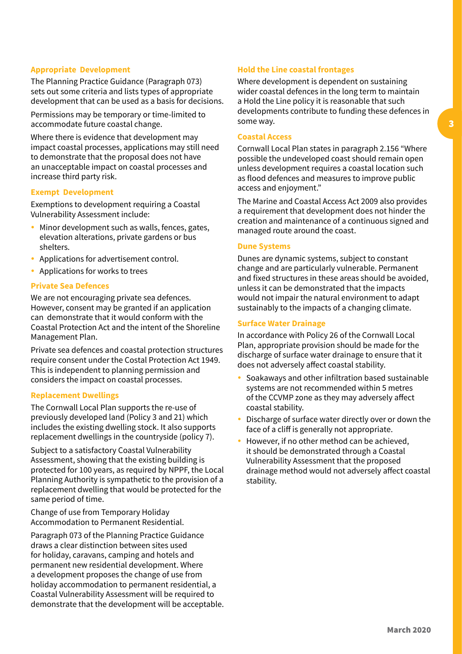#### **Appropriate Development**

The Planning Practice Guidance (Paragraph 073) sets out some criteria and lists types of appropriate development that can be used as a basis for decisions.

Permissions may be temporary or time-limited to accommodate future coastal change.

Where there is evidence that development may impact coastal processes, applications may still need to demonstrate that the proposal does not have an unacceptable impact on coastal processes and increase third party risk.

#### **Exempt Development**

Exemptions to development requiring a Coastal Vulnerability Assessment include:

- Minor development such as walls, fences, gates, elevation alterations, private gardens or bus shelters.
- Applications for advertisement control.
- Applications for works to trees

#### **Private Sea Defences**

We are not encouraging private sea defences. However, consent may be granted if an application can demonstrate that it would conform with the Coastal Protection Act and the intent of the Shoreline Management Plan.

Private sea defences and coastal protection structures require consent under the Costal Protection Act 1949. This is independent to planning permission and considers the impact on coastal processes.

#### **Replacement Dwellings**

The Cornwall Local Plan supports the re-use of previously developed land (Policy 3 and 21) which includes the existing dwelling stock. It also supports replacement dwellings in the countryside (policy 7).

Subject to a satisfactory Coastal Vulnerability Assessment, showing that the existing building is protected for 100 years, as required by NPPF, the Local Planning Authority is sympathetic to the provision of a replacement dwelling that would be protected for the same period of time.

Change of use from Temporary Holiday Accommodation to Permanent Residential.

Paragraph 073 of the Planning Practice Guidance draws a clear distinction between sites used for holiday, caravans, camping and hotels and permanent new residential development. Where a development proposes the change of use from holiday accommodation to permanent residential, a Coastal Vulnerability Assessment will be required to demonstrate that the development will be acceptable.

#### **Hold the Line coastal frontages**

Where development is dependent on sustaining wider coastal defences in the long term to maintain a Hold the Line policy it is reasonable that such developments contribute to funding these defences in some way.

#### **Coastal Access**

Cornwall Local Plan states in paragraph 2.156 "Where possible the undeveloped coast should remain open unless development requires a coastal location such as flood defences and measures to improve public access and enjoyment."

The Marine and Coastal Access Act 2009 also provides a requirement that development does not hinder the creation and maintenance of a continuous signed and managed route around the coast.

#### **Dune Systems**

Dunes are dynamic systems, subject to constant change and are particularly vulnerable. Permanent and fixed structures in these areas should be avoided, unless it can be demonstrated that the impacts would not impair the natural environment to adapt sustainably to the impacts of a changing climate.

#### **Surface Water Drainage**

In accordance with Policy 26 of the Cornwall Local Plan, appropriate provision should be made for the discharge of surface water drainage to ensure that it does not adversely affect coastal stability.

- Soakaways and other infiltration based sustainable systems are not recommended within 5 metres of the CCVMP zone as they may adversely affect coastal stability.
- Discharge of surface water directly over or down the face of a cliff is generally not appropriate.
- However, if no other method can be achieved, it should be demonstrated through a Coastal Vulnerability Assessment that the proposed drainage method would not adversely affect coastal stability.